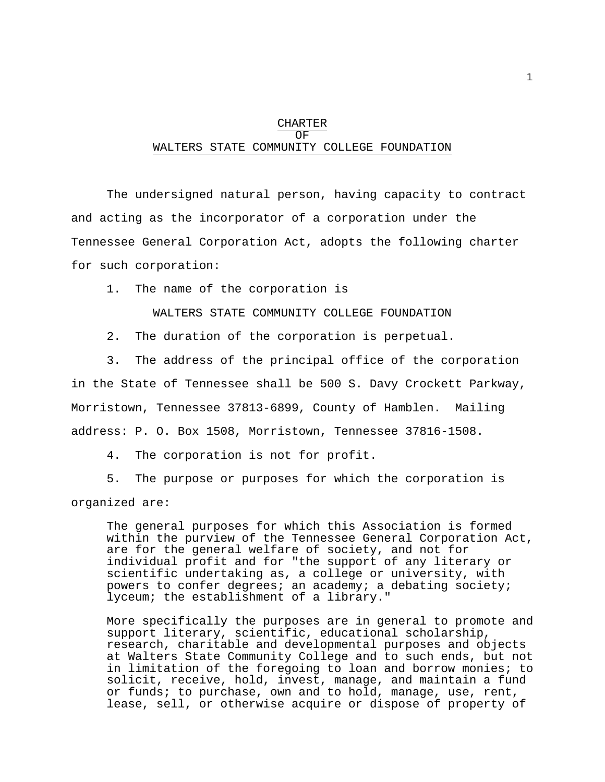#### CHARTER OF WALTERS STATE COMMUNITY COLLEGE FOUNDATION

 The undersigned natural person, having capacity to contract and acting as the incorporator of a corporation under the Tennessee General Corporation Act, adopts the following charter for such corporation:

1. The name of the corporation is

WALTERS STATE COMMUNITY COLLEGE FOUNDATION

2. The duration of the corporation is perpetual.

 3. The address of the principal office of the corporation in the State of Tennessee shall be 500 S. Davy Crockett Parkway, Morristown, Tennessee 37813-6899, County of Hamblen. Mailing address: P. O. Box 1508, Morristown, Tennessee 37816-1508.

4. The corporation is not for profit.

 5. The purpose or purposes for which the corporation is organized are:

 The general purposes for which this Association is formed within the purview of the Tennessee General Corporation Act, are for the general welfare of society, and not for individual profit and for "the support of any literary or scientific undertaking as, a college or university, with powers to confer degrees; an academy; a debating society; lyceum; the establishment of a library."

 More specifically the purposes are in general to promote and support literary, scientific, educational scholarship, research, charitable and developmental purposes and objects at Walters State Community College and to such ends, but not in limitation of the foregoing to loan and borrow monies; to solicit, receive, hold, invest, manage, and maintain a fund or funds; to purchase, own and to hold, manage, use, rent, lease, sell, or otherwise acquire or dispose of property of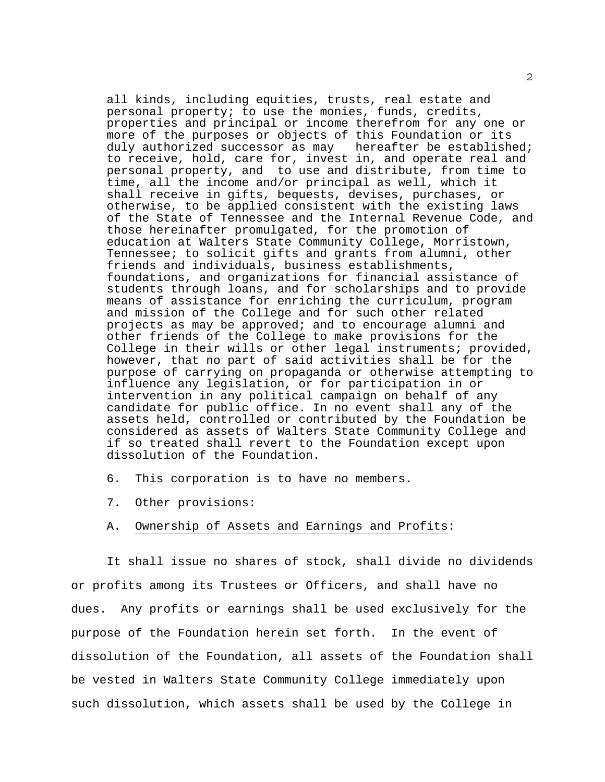all kinds, including equities, trusts, real estate and personal property; to use the monies, funds, credits, properties and principal or income therefrom for any one or more of the purposes or objects of this Foundation or its duly authorized successor as may hereafter be established; to receive, hold, care for, invest in, and operate real and personal property, and to use and distribute, from time to time, all the income and/or principal as well, which it shall receive in gifts, bequests, devises, purchases, or otherwise, to be applied consistent with the existing laws of the State of Tennessee and the Internal Revenue Code, and those hereinafter promulgated, for the promotion of education at Walters State Community College, Morristown, Tennessee; to solicit gifts and grants from alumni, other friends and individuals, business establishments, foundations, and organizations for financial assistance of students through loans, and for scholarships and to provide means of assistance for enriching the curriculum, program and mission of the College and for such other related projects as may be approved; and to encourage alumni and other friends of the College to make provisions for the College in their wills or other legal instruments; provided, however, that no part of said activities shall be for the purpose of carrying on propaganda or otherwise attempting to influence any legislation, or for participation in or intervention in any political campaign on behalf of any candidate for public office. In no event shall any of the assets held, controlled or contributed by the Foundation be considered as assets of Walters State Community College and if so treated shall revert to the Foundation except upon dissolution of the Foundation.

- 6. This corporation is to have no members.
- 7. Other provisions:
- A. Ownership of Assets and Earnings and Profits:

 It shall issue no shares of stock, shall divide no dividends or profits among its Trustees or Officers, and shall have no dues. Any profits or earnings shall be used exclusively for the purpose of the Foundation herein set forth. In the event of dissolution of the Foundation, all assets of the Foundation shall be vested in Walters State Community College immediately upon such dissolution, which assets shall be used by the College in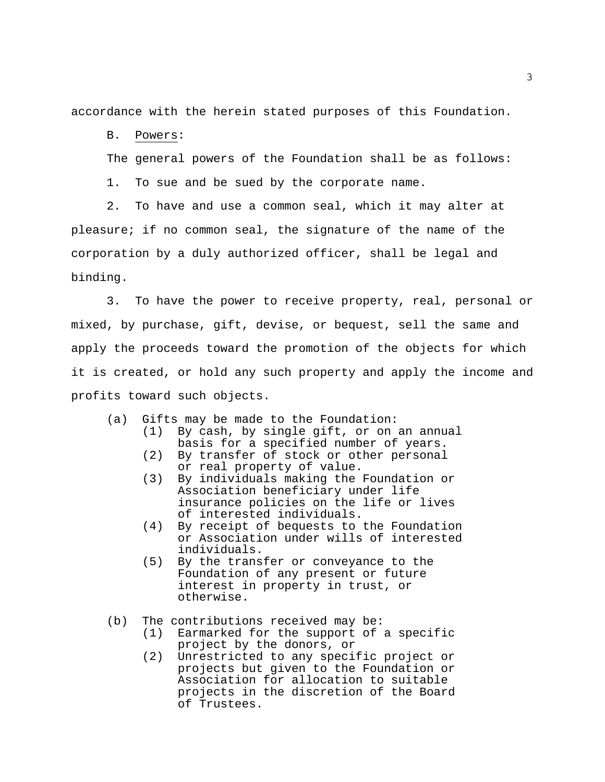accordance with the herein stated purposes of this Foundation.

B. Powers:

The general powers of the Foundation shall be as follows:

1. To sue and be sued by the corporate name.

 2. To have and use a common seal, which it may alter at pleasure; if no common seal, the signature of the name of the corporation by a duly authorized officer, shall be legal and binding.

 3. To have the power to receive property, real, personal or mixed, by purchase, gift, devise, or bequest, sell the same and apply the proceeds toward the promotion of the objects for which it is created, or hold any such property and apply the income and profits toward such objects.

- (a) Gifts may be made to the Foundation: (1) By cash, by single gift, or on an annual
	- basis for a specified number of years. (2) By transfer of stock or other personal or real property of value.
	- (3) By individuals making the Foundation or Association beneficiary under life insurance policies on the life or lives of interested individuals.
	- (4) By receipt of bequests to the Foundation or Association under wills of interested individuals.
	- (5) By the transfer or conveyance to the Foundation of any present or future interest in property in trust, or otherwise.
- (b) The contributions received may be:
	- (1) Earmarked for the support of a specific project by the donors, or
	- (2) Unrestricted to any specific project or projects but given to the Foundation or Association for allocation to suitable projects in the discretion of the Board of Trustees.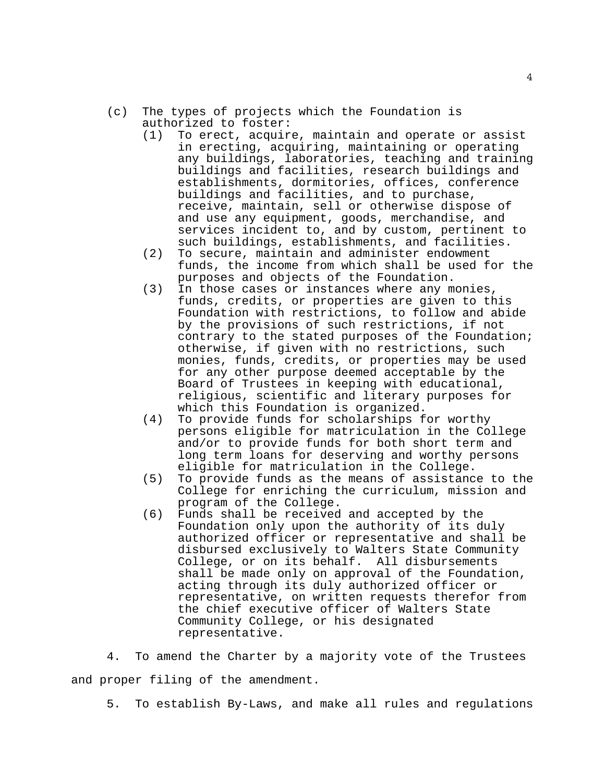- (c) The types of projects which the Foundation is authorized to foster:
	- (1) To erect, acquire, maintain and operate or assist in erecting, acquiring, maintaining or operating any buildings, laboratories, teaching and training buildings and facilities, research buildings and establishments, dormitories, offices, conference buildings and facilities, and to purchase, receive, maintain, sell or otherwise dispose of and use any equipment, goods, merchandise, and services incident to, and by custom, pertinent to such buildings, establishments, and facilities.
	- (2) To secure, maintain and administer endowment funds, the income from which shall be used for the purposes and objects of the Foundation.
	- (3) In those cases or instances where any monies, funds, credits, or properties are given to this Foundation with restrictions, to follow and abide by the provisions of such restrictions, if not contrary to the stated purposes of the Foundation; otherwise, if given with no restrictions, such monies, funds, credits, or properties may be used for any other purpose deemed acceptable by the Board of Trustees in keeping with educational, religious, scientific and literary purposes for which this Foundation is organized.
	- (4) To provide funds for scholarships for worthy persons eligible for matriculation in the College and/or to provide funds for both short term and long term loans for deserving and worthy persons eligible for matriculation in the College.
	- (5) To provide funds as the means of assistance to the College for enriching the curriculum, mission and program of the College.
	- (6) Funds shall be received and accepted by the Foundation only upon the authority of its duly authorized officer or representative and shall be disbursed exclusively to Walters State Community College, or on its behalf. All disbursements shall be made only on approval of the Foundation, acting through its duly authorized officer or representative, on written requests therefor from the chief executive officer of Walters State Community College, or his designated representative.

 4. To amend the Charter by a majority vote of the Trustees and proper filing of the amendment.

5. To establish By-Laws, and make all rules and regulations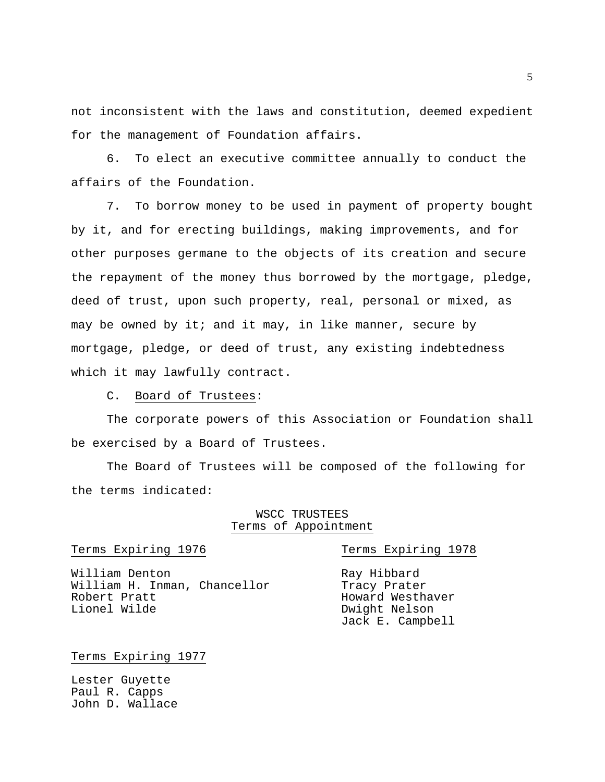not inconsistent with the laws and constitution, deemed expedient for the management of Foundation affairs.

 6. To elect an executive committee annually to conduct the affairs of the Foundation.

 7. To borrow money to be used in payment of property bought by it, and for erecting buildings, making improvements, and for other purposes germane to the objects of its creation and secure the repayment of the money thus borrowed by the mortgage, pledge, deed of trust, upon such property, real, personal or mixed, as may be owned by it; and it may, in like manner, secure by mortgage, pledge, or deed of trust, any existing indebtedness which it may lawfully contract.

C. Board of Trustees:

 The corporate powers of this Association or Foundation shall be exercised by a Board of Trustees.

 The Board of Trustees will be composed of the following for the terms indicated:

## WSCC TRUSTEES Terms of Appointment

Terms Expiring 1976 Terms Expiring 1978

William Denton Ray Hibbard William H. Inman, Chancellor Tracy Prater Robert Pratt Howard Westhaver

# Dwight Nelson Jack E. Campbell

## Terms Expiring 1977

Lester Guyette Paul R. Capps John D. Wallace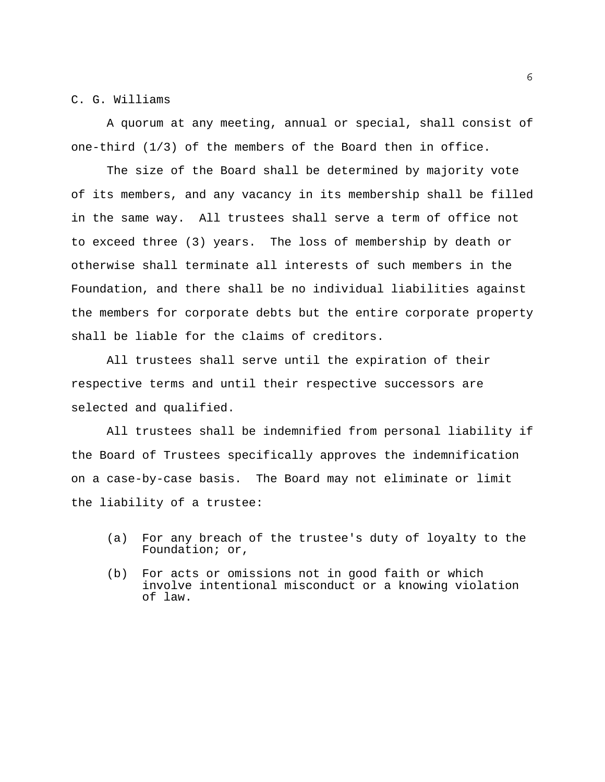### C. G. Williams

 A quorum at any meeting, annual or special, shall consist of one-third (1/3) of the members of the Board then in office.

 The size of the Board shall be determined by majority vote of its members, and any vacancy in its membership shall be filled in the same way. All trustees shall serve a term of office not to exceed three (3) years. The loss of membership by death or otherwise shall terminate all interests of such members in the Foundation, and there shall be no individual liabilities against the members for corporate debts but the entire corporate property shall be liable for the claims of creditors.

 All trustees shall serve until the expiration of their respective terms and until their respective successors are selected and qualified.

 All trustees shall be indemnified from personal liability if the Board of Trustees specifically approves the indemnification on a case-by-case basis. The Board may not eliminate or limit the liability of a trustee:

- (a) For any breach of the trustee's duty of loyalty to the Foundation; or,
- (b) For acts or omissions not in good faith or which involve intentional misconduct or a knowing violation of law.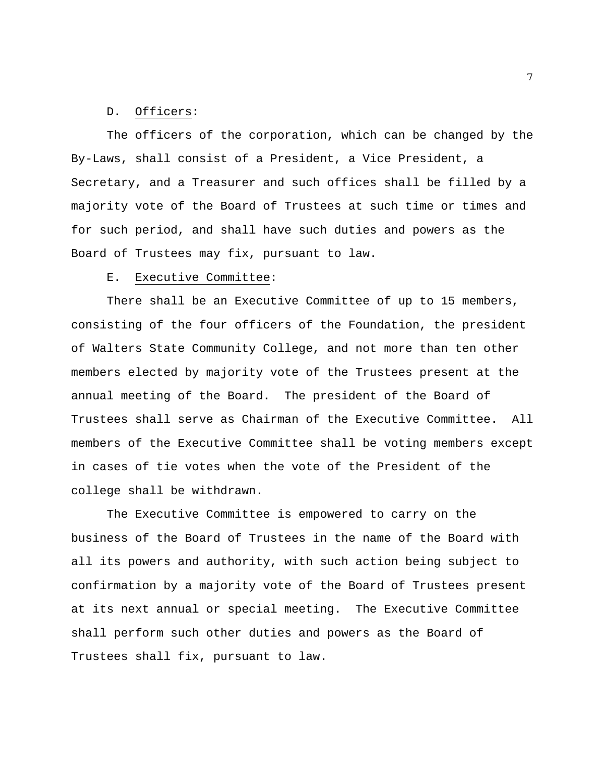#### D. Officers:

 The officers of the corporation, which can be changed by the By-Laws, shall consist of a President, a Vice President, a Secretary, and a Treasurer and such offices shall be filled by a majority vote of the Board of Trustees at such time or times and for such period, and shall have such duties and powers as the Board of Trustees may fix, pursuant to law.

#### E. Executive Committee:

 There shall be an Executive Committee of up to 15 members, consisting of the four officers of the Foundation, the president of Walters State Community College, and not more than ten other members elected by majority vote of the Trustees present at the annual meeting of the Board. The president of the Board of Trustees shall serve as Chairman of the Executive Committee. All members of the Executive Committee shall be voting members except in cases of tie votes when the vote of the President of the college shall be withdrawn.

 The Executive Committee is empowered to carry on the business of the Board of Trustees in the name of the Board with all its powers and authority, with such action being subject to confirmation by a majority vote of the Board of Trustees present at its next annual or special meeting. The Executive Committee shall perform such other duties and powers as the Board of Trustees shall fix, pursuant to law.